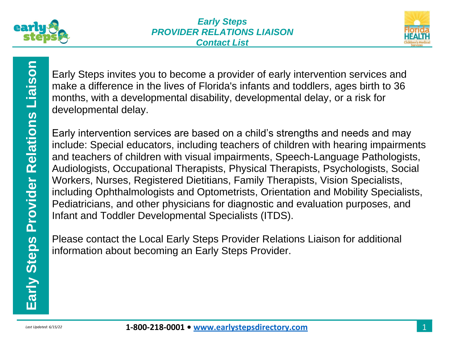



Early Steps invites you to become a provider of early intervention services and make a difference in the lives of Florida's infants and toddlers, ages birth to 36 months, with a developmental disability, developmental delay, or a risk for developmental delay.

Early Steps invites you to become a provider of early intervention services and<br>
months, with a developmental disability, developmental delay, or a risk for<br>
divelopmental delay.<br>
Early intervention services are based on a Early intervention services are based on a child's strengths and needs and may include: Special educators, including teachers of children with hearing impairments and teachers of children with visual impairments, Speech-Language Pathologists, Audiologists, Occupational Therapists, Physical Therapists, Psychologists, Social Workers, Nurses, Registered Dietitians, Family Therapists, Vision Specialists, including Ophthalmologists and Optometrists, Orientation and Mobility Specialists, Pediatricians, and other physicians for diagnostic and evaluation purposes, and Infant and Toddler Developmental Specialists (ITDS).

Please contact the Local Early Steps Provider Relations Liaison for additional information about becoming an Early Steps Provider.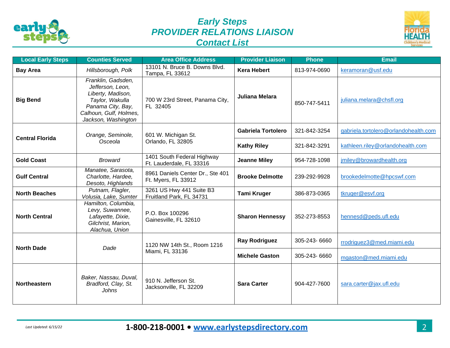

## *Early Steps PROVIDER RELATIONS LIAISON Contact List*



| <b>Local Early Steps</b> | <b>Counties Served</b>                                                                                                                               | <b>Area Office Address</b>                              | <b>Provider Liaison</b>   | Phone        | <b>Email</b>                         |
|--------------------------|------------------------------------------------------------------------------------------------------------------------------------------------------|---------------------------------------------------------|---------------------------|--------------|--------------------------------------|
| <b>Bay Area</b>          | Hillsborough, Polk                                                                                                                                   | 13101 N. Bruce B. Downs Blvd.<br>Tampa, FL 33612        | <b>Kera Hebert</b>        | 813-974-0690 | keramoran@usf.edu                    |
| <b>Big Bend</b>          | Franklin, Gadsden,<br>Jefferson, Leon,<br>Liberty, Madison,<br>Taylor, Wakulla<br>Panama City, Bay,<br>Calhoun, Gulf, Holmes,<br>Jackson, Washington | 700 W 23rd Street, Panama City,<br>FL 32405             | Juliana Melara            | 850-747-5411 | juliana.melara@chsfl.org             |
| <b>Central Florida</b>   | Orange, Seminole,<br>Osceola                                                                                                                         | 601 W. Michigan St.<br>Orlando, FL 32805                | <b>Gabriela Tortolero</b> | 321-842-3254 | gabriela.tortolero@orlandohealth.com |
|                          |                                                                                                                                                      |                                                         | <b>Kathy Riley</b>        | 321-842-3291 | kathleen.riley@orlandohealth.com     |
| <b>Gold Coast</b>        | <b>Broward</b>                                                                                                                                       | 1401 South Federal Highway<br>Ft. Lauderdale, FL 33316  | <b>Jeanne Miley</b>       | 954-728-1098 | jmiley@browardhealth.org             |
| <b>Gulf Central</b>      | Manatee, Sarasota,<br>Charlotte, Hardee,<br>Desoto, Highlands                                                                                        | 8961 Daniels Center Dr., Ste 401<br>Ft. Myers, FL 33912 | <b>Brooke Delmotte</b>    | 239-292-9928 | brookedelmotte@hpcswf.com            |
| <b>North Beaches</b>     | Putnam, Flagler,<br>Volusia, Lake, Sumter                                                                                                            | 3261 US Hwy 441 Suite B3<br>Fruitland Park, FL 34731    | <b>Tami Kruger</b>        | 386-873-0365 | tkruger@esvf.org                     |
| <b>North Central</b>     | Hamilton, Columbia,<br>Levy, Suwannee,<br>Lafayette, Dixie,<br>Gilchrist, Marion,<br>Alachua, Union                                                  | P.O. Box 100296<br>Gainesville, FL 32610                | <b>Sharon Hennessy</b>    | 352-273-8553 | hennesd@peds.ufl.edu                 |
| <b>North Dade</b>        | Dade                                                                                                                                                 | 1120 NW 14th St., Room 1216<br>Miami, FL 33136          | <b>Ray Rodriguez</b>      | 305-243-6660 | rrodriguez3@med.miami.edu            |
|                          |                                                                                                                                                      |                                                         | <b>Michele Gaston</b>     | 305-243-6660 | mgaston@med.miami.edu                |
| <b>Northeastern</b>      | Baker, Nassau, Duval,<br>Bradford, Clay, St.<br>Johns                                                                                                | 910 N. Jefferson St.<br>Jacksonville, FL 32209          | <b>Sara Carter</b>        | 904-427-7600 | sara.carter@jax.ufl.edu              |